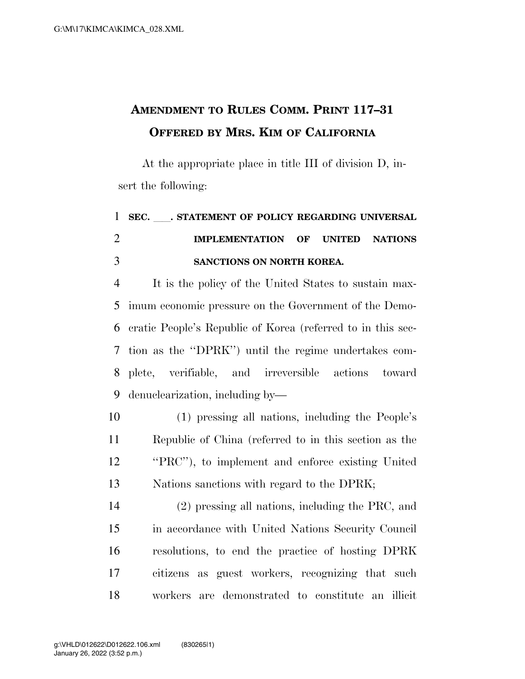## **AMENDMENT TO RULES COMM. PRINT 117–31 OFFERED BY MRS. KIM OF CALIFORNIA**

At the appropriate place in title III of division D, insert the following:

## **SEC.** ll**. STATEMENT OF POLICY REGARDING UNIVERSAL IMPLEMENTATION OF UNITED NATIONS SANCTIONS ON NORTH KOREA.**

 It is the policy of the United States to sustain max- imum economic pressure on the Government of the Demo- cratic People's Republic of Korea (referred to in this sec- tion as the ''DPRK'') until the regime undertakes com- plete, verifiable, and irreversible actions toward denuclearization, including by—

 (1) pressing all nations, including the People's Republic of China (referred to in this section as the ''PRC''), to implement and enforce existing United Nations sanctions with regard to the DPRK;

 (2) pressing all nations, including the PRC, and in accordance with United Nations Security Council resolutions, to end the practice of hosting DPRK citizens as guest workers, recognizing that such workers are demonstrated to constitute an illicit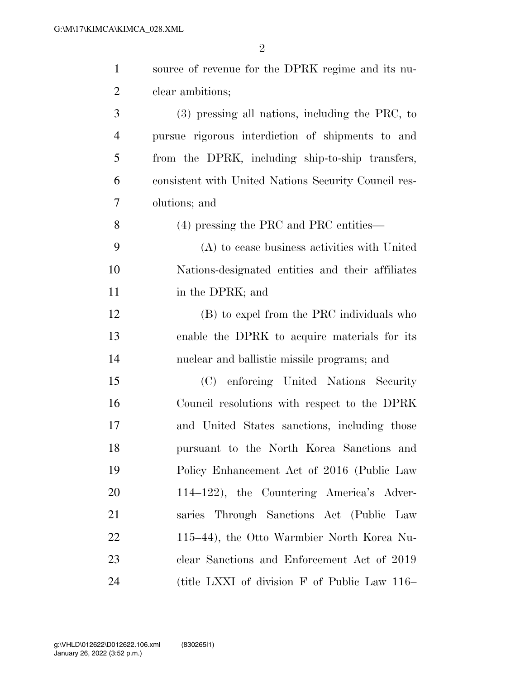| $\mathbf{1}$   | source of revenue for the DPRK regime and its nu-    |
|----------------|------------------------------------------------------|
| $\overline{2}$ | clear ambitions;                                     |
| 3              | $(3)$ pressing all nations, including the PRC, to    |
| $\overline{4}$ | pursue rigorous interdiction of shipments to and     |
| 5              | from the DPRK, including ship-to-ship transfers,     |
| 6              | consistent with United Nations Security Council res- |
| 7              | olutions; and                                        |
| 8              | $(4)$ pressing the PRC and PRC entities—             |
| 9              | (A) to cease business activities with United         |
| 10             | Nations-designated entities and their affiliates     |
| 11             | in the DPRK; and                                     |
| 12             | (B) to expel from the PRC individuals who            |
| 13             | enable the DPRK to acquire materials for its         |
| 14             | nuclear and ballistic missile programs; and          |
| 15             | (C) enforcing United Nations Security                |
| 16             | Council resolutions with respect to the DPRK         |
| 17             | and United States sanctions, including those         |
| 18             | pursuant to the North Korea Sanctions and            |
| 19             | Policy Enhancement Act of 2016 (Public Law           |
| 20             | 114–122), the Countering America's Adver-            |
| 21             | saries Through Sanctions Act (Public Law             |
| 22             | 115–44), the Otto Warmbier North Korea Nu-           |
| 23             | clear Sanctions and Enforcement Act of 2019          |
| 24             | (title LXXI of division F of Public Law 116–         |